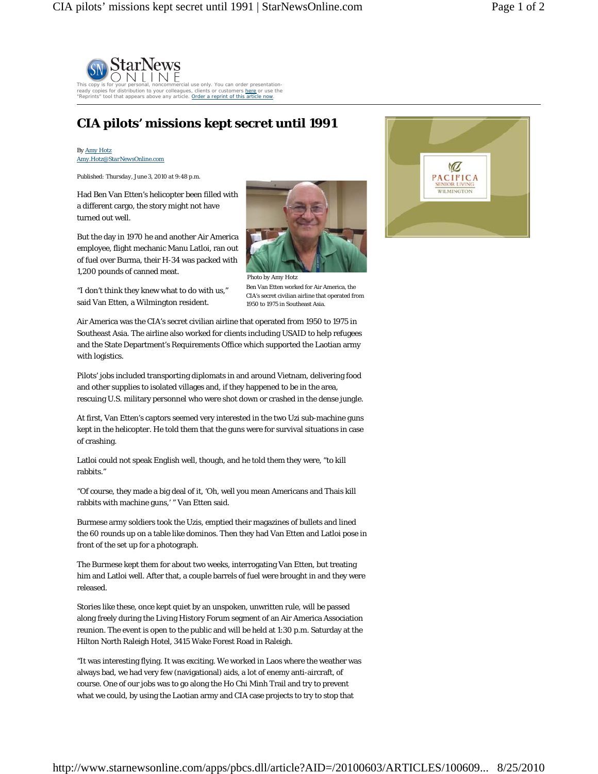

## **CIA pilots' missions kept secret until 1991**

## *By Amy Hotz Amy.Hotz@StarNewsOnline.com*

*Published: Thursday, June 3, 2010 at 9:48 p.m.* 

Had Ben Van Etten's helicopter been filled with a different cargo, the story might not have turned out well.

But the day in 1970 he and another Air America employee, flight mechanic Manu Latloi, ran out of fuel over Burma, their H-34 was packed with 1,200 pounds of canned meat.



"I don't think they knew what to do with us," said Van Etten, a Wilmington resident.

*Photo by Amy Hotz*  Ben Van Etten worked for Air America, the CIA's secret civilian airline that operated from 1950 to 1975 in Southeast Asia.

Air America was the CIA's secret civilian airline that operated from 1950 to 1975 in Southeast Asia. The airline also worked for clients including USAID to help refugees and the State Department's Requirements Office which supported the Laotian army with logistics.

Pilots' jobs included transporting diplomats in and around Vietnam, delivering food and other supplies to isolated villages and, if they happened to be in the area, rescuing U.S. military personnel who were shot down or crashed in the dense jungle.

At first, Van Etten's captors seemed very interested in the two Uzi sub-machine guns kept in the helicopter. He told them that the guns were for survival situations in case of crashing.

Latloi could not speak English well, though, and he told them they were, "to kill rabbits."

"Of course, they made a big deal of it, 'Oh, well you mean Americans and Thais kill rabbits with machine guns,' " Van Etten said.

Burmese army soldiers took the Uzis, emptied their magazines of bullets and lined the 60 rounds up on a table like dominos. Then they had Van Etten and Latloi pose in front of the set up for a photograph.

The Burmese kept them for about two weeks, interrogating Van Etten, but treating him and Latloi well. After that, a couple barrels of fuel were brought in and they were released.

Stories like these, once kept quiet by an unspoken, unwritten rule, will be passed along freely during the Living History Forum segment of an Air America Association reunion. The event is open to the public and will be held at 1:30 p.m. Saturday at the Hilton North Raleigh Hotel, 3415 Wake Forest Road in Raleigh.

"It was interesting flying. It was exciting. We worked in Laos where the weather was always bad, we had very few (navigational) aids, a lot of enemy anti-aircraft, of course. One of our jobs was to go along the Ho Chi Minh Trail and try to prevent what we could, by using the Laotian army and CIA case projects to try to stop that